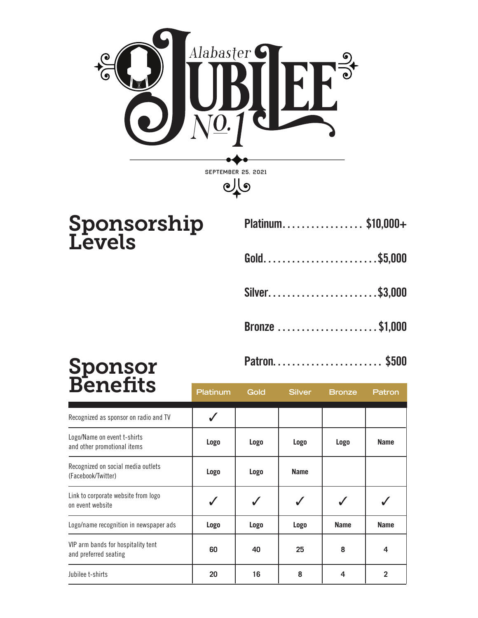

## Sponsorship **Levels**

|  |  |  |  |  |  |  |  |  |  |  |  |  |  |  |  |  | Platinum\$10,000+ |
|--|--|--|--|--|--|--|--|--|--|--|--|--|--|--|--|--|-------------------|
|--|--|--|--|--|--|--|--|--|--|--|--|--|--|--|--|--|-------------------|

- Gold . . . . . . . . . . . . . . . . . . . . . . . \$5,000
- Silver......................\$3,000
- Bronze . . . . . . . . . . . . . . . . . . . . . \$1,000
- Patron . . . . . . . . . . . . . . . . . . . . . . . \$500

| <b>Benents</b>                                              | <b>Platinum</b> | Gold        | <b>Silver</b> | <b>Bronze</b> | Patron      |
|-------------------------------------------------------------|-----------------|-------------|---------------|---------------|-------------|
| Recognized as sponsor on radio and TV                       |                 |             |               |               |             |
| Logo/Name on event t-shirts<br>and other promotional items  | Logo            | <b>Logo</b> | Logo          | Logo          | <b>Name</b> |
| Recognized on social media outlets<br>(Facebook/Twitter)    | Logo            | <b>Logo</b> | <b>Name</b>   |               |             |
| Link to corporate website from logo<br>on event website     |                 |             |               |               |             |
| Logo/name recognition in newspaper ads                      | Logo            | <b>Logo</b> | <b>Logo</b>   | <b>Name</b>   | <b>Name</b> |
| VIP arm bands for hospitality tent<br>and preferred seating | 60              | 40          | 25            | 8             | 4           |
| Jubilee t-shirts                                            | 20              | 16          | 8             | 4             | 2           |

## Sponsor **Benefits**